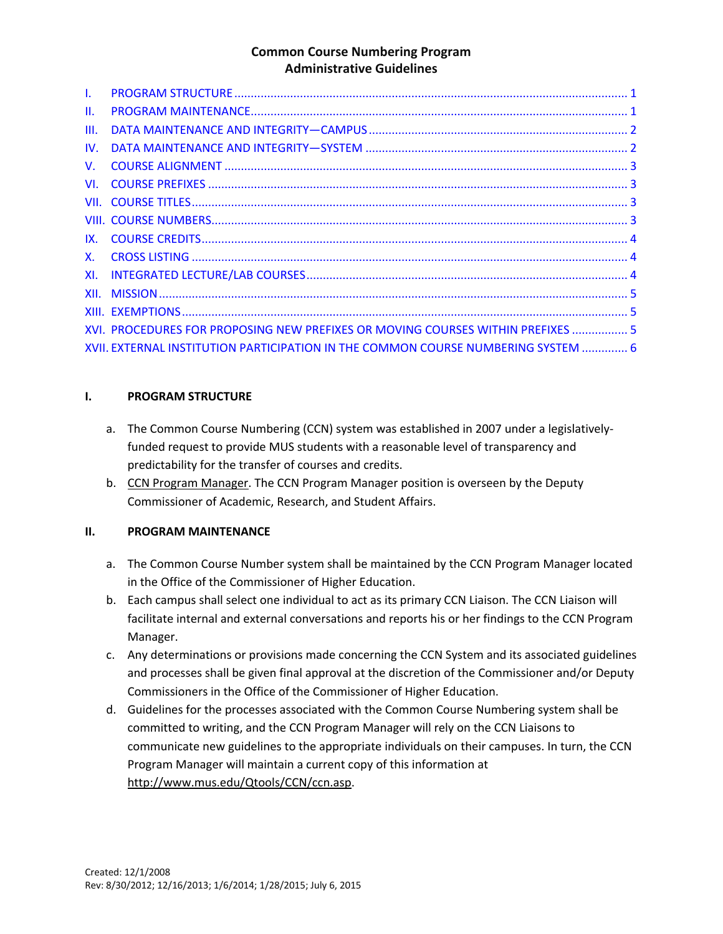| $\mathbf{L}$    |                                                                                   |  |
|-----------------|-----------------------------------------------------------------------------------|--|
| $\mathbf{II}$ . |                                                                                   |  |
| HI.             |                                                                                   |  |
| IV.             |                                                                                   |  |
| $V_{\rm{f}}$    |                                                                                   |  |
| VI.             |                                                                                   |  |
|                 |                                                                                   |  |
|                 |                                                                                   |  |
| IX.             |                                                                                   |  |
| <b>X</b> .      |                                                                                   |  |
| XI.             |                                                                                   |  |
|                 |                                                                                   |  |
|                 |                                                                                   |  |
|                 | XVI. PROCEDURES FOR PROPOSING NEW PREFIXES OR MOVING COURSES WITHIN PREFIXES  5   |  |
|                 | XVII. EXTERNAL INSTITUTION PARTICIPATION IN THE COMMON COURSE NUMBERING SYSTEM  6 |  |

### **I. PROGRAM STRUCTURE**

- a. The Common Course Numbering (CCN) system was established in 2007 under a legislativelyfunded request to provide MUS students with a reasonable level of transparency and predictability for the transfer of courses and credits.
- b. CCN Program Manager. The CCN Program Manager position is overseen by the Deputy Commissioner of Academic, Research, and Student Affairs.

# **II. PROGRAM MAINTENANCE**

- a. The Common Course Number system shall be maintained by the CCN Program Manager located in the Office of the Commissioner of Higher Education.
- b. Each campus shall select one individual to act as its primary CCN Liaison. The CCN Liaison will facilitate internal and external conversations and reports his or her findings to the CCN Program Manager.
- c. Any determinations or provisions made concerning the CCN System and its associated guidelines and processes shall be given final approval at the discretion of the Commissioner and/or Deputy Commissioners in the Office of the Commissioner of Higher Education.
- d. Guidelines for the processes associated with the Common Course Numbering system shall be committed to writing, and the CCN Program Manager will rely on the CCN Liaisons to communicate new guidelines to the appropriate individuals on their campuses. In turn, the CCN Program Manager will maintain a current copy of this information at http://www.mus.edu/Qtools/CCN/ccn.asp.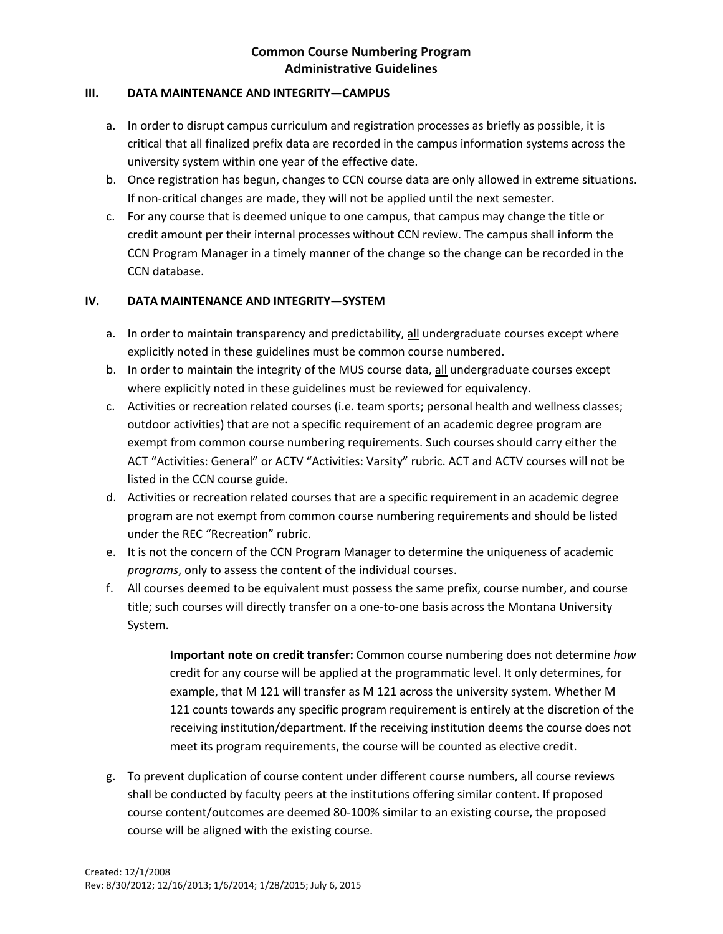#### **III. DATA MAINTENANCE AND INTEGRITY—CAMPUS**

- a. In order to disrupt campus curriculum and registration processes as briefly as possible, it is critical that all finalized prefix data are recorded in the campus information systems across the university system within one year of the effective date.
- b. Once registration has begun, changes to CCN course data are only allowed in extreme situations. If non-critical changes are made, they will not be applied until the next semester.
- c. For any course that is deemed unique to one campus, that campus may change the title or credit amount per their internal processes without CCN review. The campus shall inform the CCN Program Manager in a timely manner of the change so the change can be recorded in the CCN database.

# **IV. DATA MAINTENANCE AND INTEGRITY—SYSTEM**

- a. In order to maintain transparency and predictability, all undergraduate courses except where explicitly noted in these guidelines must be common course numbered.
- b. In order to maintain the integrity of the MUS course data, all undergraduate courses except where explicitly noted in these guidelines must be reviewed for equivalency.
- c. Activities or recreation related courses (i.e. team sports; personal health and wellness classes; outdoor activities) that are not a specific requirement of an academic degree program are exempt from common course numbering requirements. Such courses should carry either the ACT "Activities: General" or ACTV "Activities: Varsity" rubric. ACT and ACTV courses will not be listed in the CCN course guide.
- d. Activities or recreation related courses that are a specific requirement in an academic degree program are not exempt from common course numbering requirements and should be listed under the REC "Recreation" rubric.
- e. It is not the concern of the CCN Program Manager to determine the uniqueness of academic *programs*, only to assess the content of the individual courses.
- f. All courses deemed to be equivalent must possess the same prefix, course number, and course title; such courses will directly transfer on a one-to-one basis across the Montana University System.

**Important note on credit transfer:** Common course numbering does not determine *how* credit for any course will be applied at the programmatic level. It only determines, for example, that M 121 will transfer as M 121 across the university system. Whether M 121 counts towards any specific program requirement is entirely at the discretion of the receiving institution/department. If the receiving institution deems the course does not meet its program requirements, the course will be counted as elective credit.

g. To prevent duplication of course content under different course numbers, all course reviews shall be conducted by faculty peers at the institutions offering similar content. If proposed course content/outcomes are deemed 80-100% similar to an existing course, the proposed course will be aligned with the existing course.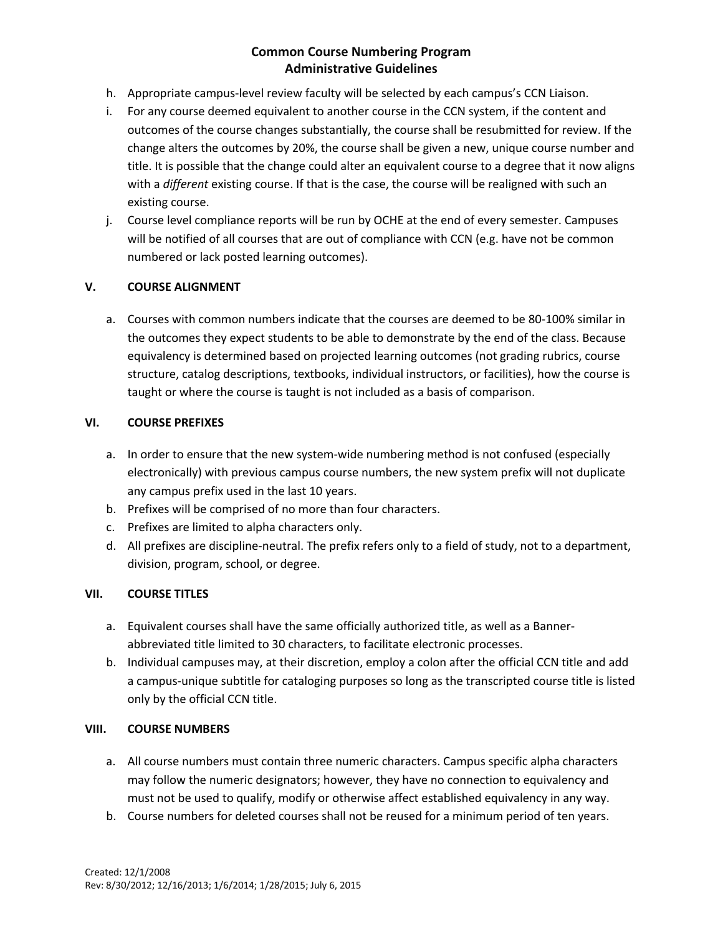- h. Appropriate campus-level review faculty will be selected by each campus's CCN Liaison.
- i. For any course deemed equivalent to another course in the CCN system, if the content and outcomes of the course changes substantially, the course shall be resubmitted for review. If the change alters the outcomes by 20%, the course shall be given a new, unique course number and title. It is possible that the change could alter an equivalent course to a degree that it now aligns with a *different* existing course. If that is the case, the course will be realigned with such an existing course.
- j. Course level compliance reports will be run by OCHE at the end of every semester. Campuses will be notified of all courses that are out of compliance with CCN (e.g. have not be common numbered or lack posted learning outcomes).

### **V. COURSE ALIGNMENT**

a. Courses with common numbers indicate that the courses are deemed to be 80-100% similar in the outcomes they expect students to be able to demonstrate by the end of the class. Because equivalency is determined based on projected learning outcomes (not grading rubrics, course structure, catalog descriptions, textbooks, individual instructors, or facilities), how the course is taught or where the course is taught is not included as a basis of comparison.

### **VI. COURSE PREFIXES**

- a. In order to ensure that the new system-wide numbering method is not confused (especially electronically) with previous campus course numbers, the new system prefix will not duplicate any campus prefix used in the last 10 years.
- b. Prefixes will be comprised of no more than four characters.
- c. Prefixes are limited to alpha characters only.
- d. All prefixes are discipline-neutral. The prefix refers only to a field of study, not to a department, division, program, school, or degree.

# **VII. COURSE TITLES**

- a. Equivalent courses shall have the same officially authorized title, as well as a Bannerabbreviated title limited to 30 characters, to facilitate electronic processes.
- b. Individual campuses may, at their discretion, employ a colon after the official CCN title and add a campus-unique subtitle for cataloging purposes so long as the transcripted course title is listed only by the official CCN title.

#### **VIII. COURSE NUMBERS**

- a. All course numbers must contain three numeric characters. Campus specific alpha characters may follow the numeric designators; however, they have no connection to equivalency and must not be used to qualify, modify or otherwise affect established equivalency in any way.
- b. Course numbers for deleted courses shall not be reused for a minimum period of ten years.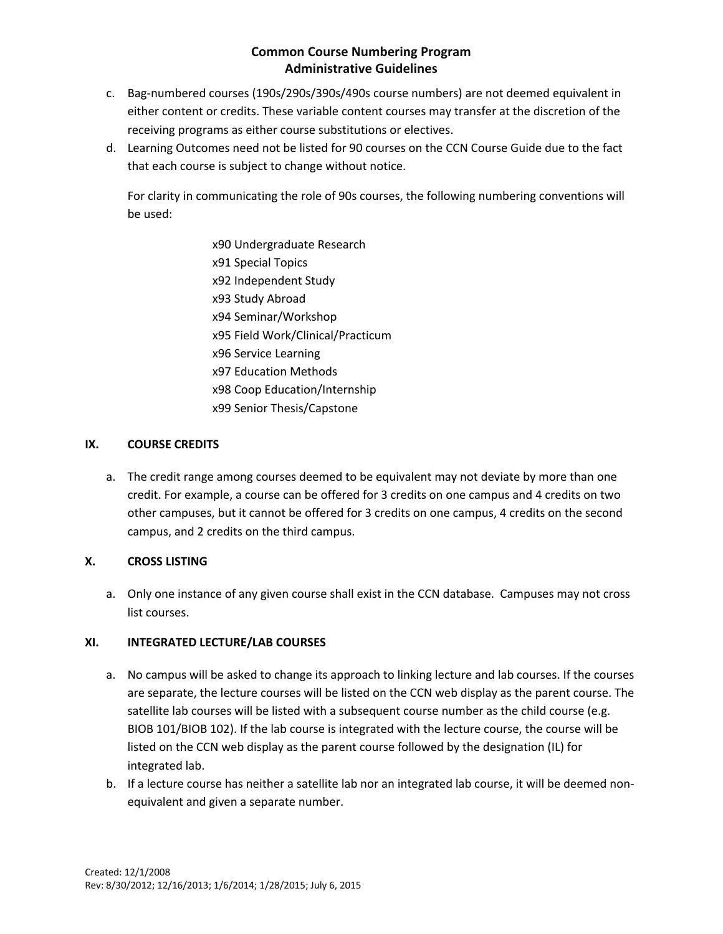- c. Bag-numbered courses (190s/290s/390s/490s course numbers) are not deemed equivalent in either content or credits. These variable content courses may transfer at the discretion of the receiving programs as either course substitutions or electives.
- d. Learning Outcomes need not be listed for 90 courses on the CCN Course Guide due to the fact that each course is subject to change without notice.

For clarity in communicating the role of 90s courses, the following numbering conventions will be used:

> x90 Undergraduate Research x91 Special Topics x92 Independent Study x93 Study Abroad x94 Seminar/Workshop x95 Field Work/Clinical/Practicum x96 Service Learning x97 Education Methods x98 Coop Education/Internship x99 Senior Thesis/Capstone

### **IX. COURSE CREDITS**

a. The credit range among courses deemed to be equivalent may not deviate by more than one credit. For example, a course can be offered for 3 credits on one campus and 4 credits on two other campuses, but it cannot be offered for 3 credits on one campus, 4 credits on the second campus, and 2 credits on the third campus.

# **X. CROSS LISTING**

a. Only one instance of any given course shall exist in the CCN database. Campuses may not cross list courses.

#### **XI. INTEGRATED LECTURE/LAB COURSES**

- a. No campus will be asked to change its approach to linking lecture and lab courses. If the courses are separate, the lecture courses will be listed on the CCN web display as the parent course. The satellite lab courses will be listed with a subsequent course number as the child course (e.g. BIOB 101/BIOB 102). If the lab course is integrated with the lecture course, the course will be listed on the CCN web display as the parent course followed by the designation (IL) for integrated lab.
- b. If a lecture course has neither a satellite lab nor an integrated lab course, it will be deemed nonequivalent and given a separate number.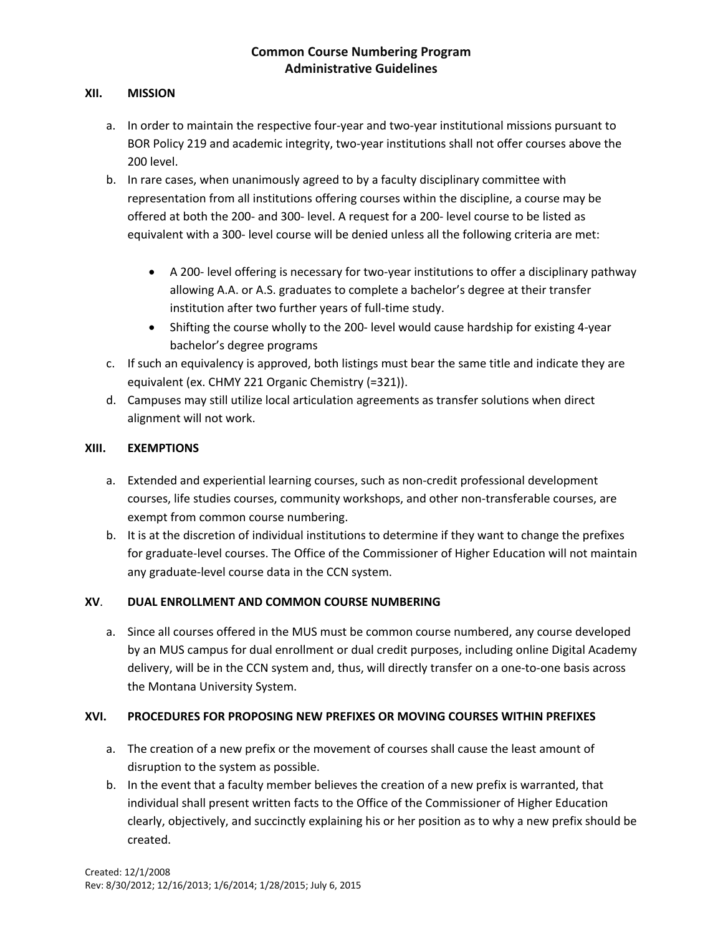#### **XII. MISSION**

- a. In order to maintain the respective four-year and two-year institutional missions pursuant to BOR Policy 219 and academic integrity, two-year institutions shall not offer courses above the 200 level.
- b. In rare cases, when unanimously agreed to by a faculty disciplinary committee with representation from all institutions offering courses within the discipline, a course may be offered at both the 200- and 300- level. A request for a 200- level course to be listed as equivalent with a 300- level course will be denied unless all the following criteria are met:
	- A 200- level offering is necessary for two-year institutions to offer a disciplinary pathway allowing A.A. or A.S. graduates to complete a bachelor's degree at their transfer institution after two further years of full-time study.
	- Shifting the course wholly to the 200- level would cause hardship for existing 4-year bachelor's degree programs
- c. If such an equivalency is approved, both listings must bear the same title and indicate they are equivalent (ex. CHMY 221 Organic Chemistry (=321)).
- d. Campuses may still utilize local articulation agreements as transfer solutions when direct alignment will not work.

### **XIII. EXEMPTIONS**

- a. Extended and experiential learning courses, such as non-credit professional development courses, life studies courses, community workshops, and other non-transferable courses, are exempt from common course numbering.
- b. It is at the discretion of individual institutions to determine if they want to change the prefixes for graduate-level courses. The Office of the Commissioner of Higher Education will not maintain any graduate-level course data in the CCN system.

# **XV**. **DUAL ENROLLMENT AND COMMON COURSE NUMBERING**

a. Since all courses offered in the MUS must be common course numbered, any course developed by an MUS campus for dual enrollment or dual credit purposes, including online Digital Academy delivery, will be in the CCN system and, thus, will directly transfer on a one-to-one basis across the Montana University System.

# **XVI. PROCEDURES FOR PROPOSING NEW PREFIXES OR MOVING COURSES WITHIN PREFIXES**

- a. The creation of a new prefix or the movement of courses shall cause the least amount of disruption to the system as possible.
- b. In the event that a faculty member believes the creation of a new prefix is warranted, that individual shall present written facts to the Office of the Commissioner of Higher Education clearly, objectively, and succinctly explaining his or her position as to why a new prefix should be created.